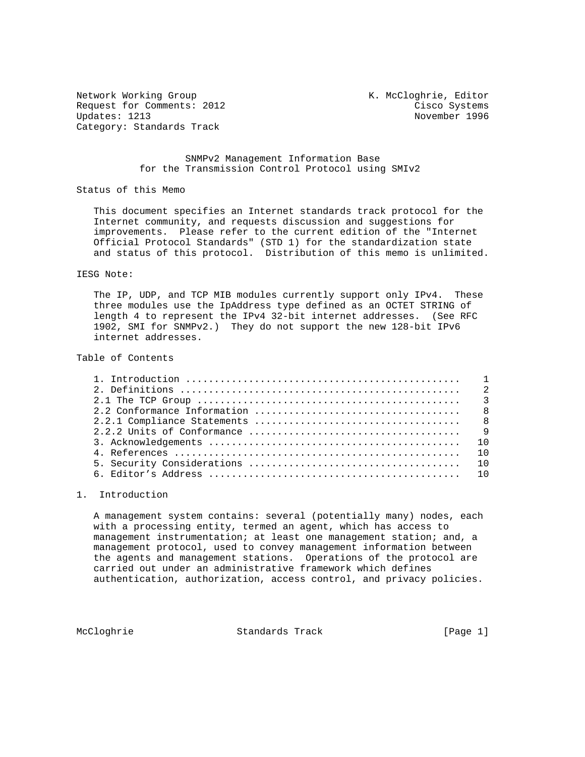Network Working Group Network Working Group Network K. McCloghrie, Editor Request for Comments: 2012 Cisco Systems Category: Standards Track

November 1996

## SNMPv2 Management Information Base for the Transmission Control Protocol using SMIv2

Status of this Memo

 This document specifies an Internet standards track protocol for the Internet community, and requests discussion and suggestions for improvements. Please refer to the current edition of the "Internet Official Protocol Standards" (STD 1) for the standardization state and status of this protocol. Distribution of this memo is unlimited.

### IESG Note:

 The IP, UDP, and TCP MIB modules currently support only IPv4. These three modules use the IpAddress type defined as an OCTET STRING of length 4 to represent the IPv4 32-bit internet addresses. (See RFC 1902, SMI for SNMPv2.) They do not support the new 128-bit IPv6 internet addresses.

#### Table of Contents

## 1. Introduction

 A management system contains: several (potentially many) nodes, each with a processing entity, termed an agent, which has access to management instrumentation; at least one management station; and, a management protocol, used to convey management information between the agents and management stations. Operations of the protocol are carried out under an administrative framework which defines authentication, authorization, access control, and privacy policies.

McCloghrie Standards Track [Page 1]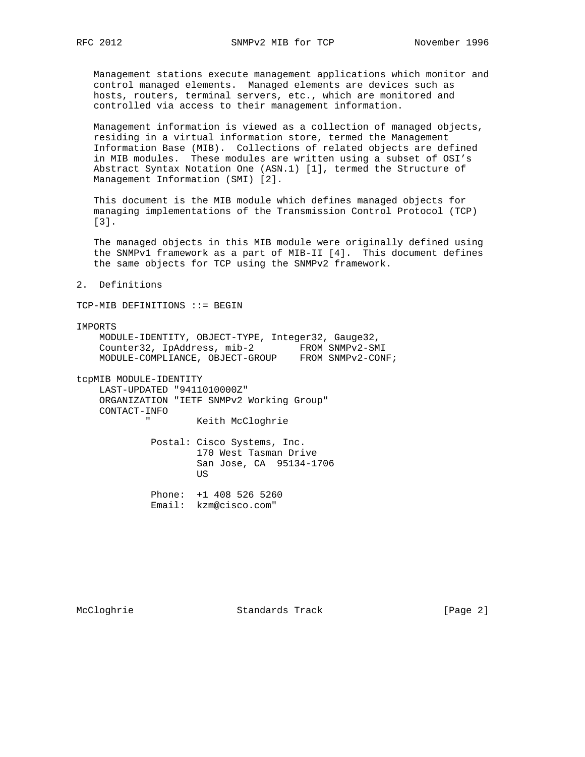Management stations execute management applications which monitor and control managed elements. Managed elements are devices such as hosts, routers, terminal servers, etc., which are monitored and controlled via access to their management information.

 Management information is viewed as a collection of managed objects, residing in a virtual information store, termed the Management Information Base (MIB). Collections of related objects are defined in MIB modules. These modules are written using a subset of OSI's Abstract Syntax Notation One (ASN.1) [1], termed the Structure of Management Information (SMI) [2].

 This document is the MIB module which defines managed objects for managing implementations of the Transmission Control Protocol (TCP) [3].

 The managed objects in this MIB module were originally defined using the SNMPv1 framework as a part of MIB-II [4]. This document defines the same objects for TCP using the SNMPv2 framework.

2. Definitions

TCP-MIB DEFINITIONS ::= BEGIN

IMPORTS

 MODULE-IDENTITY, OBJECT-TYPE, Integer32, Gauge32, Counter32, IpAddress, mib-2 FROM SNMPv2-SMI MODULE-COMPLIANCE, OBJECT-GROUP FROM SNMPv2-CONF;

tcpMIB MODULE-IDENTITY

 LAST-UPDATED "9411010000Z" ORGANIZATION "IETF SNMPv2 Working Group" CONTACT-INFO Keith McCloghrie

 Postal: Cisco Systems, Inc. 170 West Tasman Drive San Jose, CA 95134-1706 US DE L'ANNO DE L'ANNO DE L'ANNO DE L'ANNO DE L'ANNO DE L'ANNO DE L'ANNO DE L'ANNO DE L'ANNO DE L'ANNO DE L'AN

> Phone: +1 408 526 5260 Email: kzm@cisco.com"

McCloghrie Standards Track [Page 2]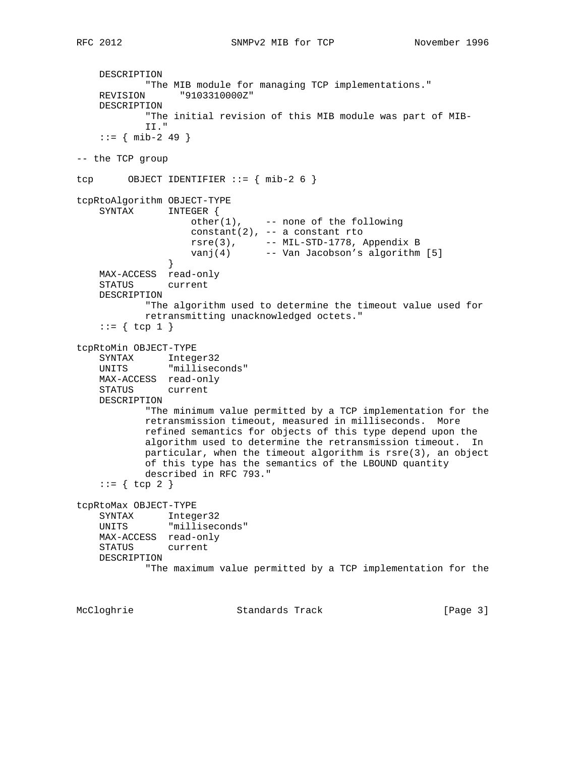DESCRIPTION "The MIB module for managing TCP implementations." REVISION "9103310000Z" DESCRIPTION "The initial revision of this MIB module was part of MIB- II."  $: := \{ \text{min-2 49 } \}$ -- the TCP group tcp OBJECT IDENTIFIER  $:= \{ mib-2 6 \}$ tcpRtoAlgorithm OBJECT-TYPE SYNTAX INTEGER {  $other(1)$ , -- none of the following constant(2), -- a constant rto  $rsre(3)$ ,  $--- MIL-STD-1778$ , Appendix B vanj(4) -- Van Jacobson's algorithm [5] } MAX-ACCESS read-only STATUS current DESCRIPTION "The algorithm used to determine the timeout value used for retransmitting unacknowledged octets."  $::= \{ \text{top } 1 \}$ tcpRtoMin OBJECT-TYPE SYNTAX Integer32 UNITS "milliseconds" MAX-ACCESS read-only STATUS current DESCRIPTION "The minimum value permitted by a TCP implementation for the retransmission timeout, measured in milliseconds. More refined semantics for objects of this type depend upon the algorithm used to determine the retransmission timeout. In particular, when the timeout algorithm is rsre(3), an object of this type has the semantics of the LBOUND quantity described in RFC 793."  $::=$  { tcp 2 } tcpRtoMax OBJECT-TYPE SYNTAX Integer32 UNITS "milliseconds" MAX-ACCESS read-only STATUS current DESCRIPTION "The maximum value permitted by a TCP implementation for the

McCloghrie Standards Track [Page 3]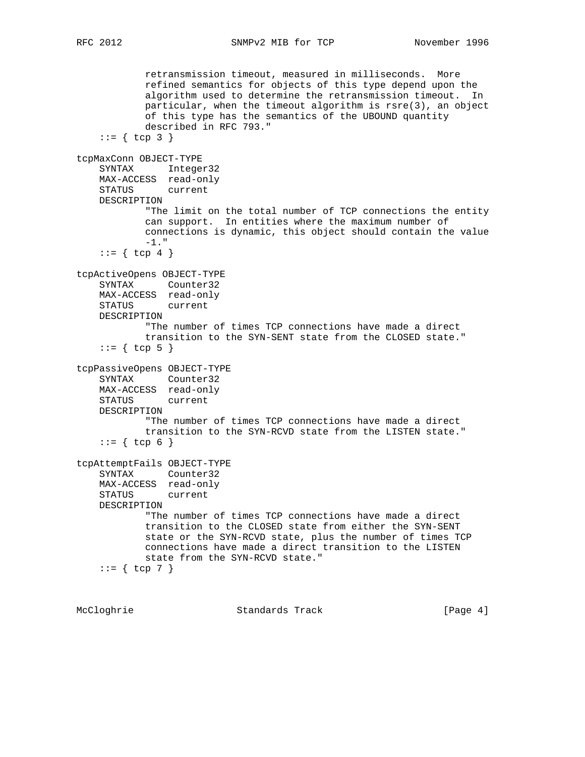RFC 2012 SNMPv2 MIB for TCP November 1996

 retransmission timeout, measured in milliseconds. More refined semantics for objects of this type depend upon the algorithm used to determine the retransmission timeout. In particular, when the timeout algorithm is rsre(3), an object of this type has the semantics of the UBOUND quantity described in RFC 793."  $::= \{ \text{top } 3 \}$ tcpMaxConn OBJECT-TYPE SYNTAX Integer32 MAX-ACCESS read-only STATUS current DESCRIPTION "The limit on the total number of TCP connections the entity can support. In entities where the maximum number of connections is dynamic, this object should contain the value -1." ::=  $\{ \text{top } 4 \}$ tcpActiveOpens OBJECT-TYPE SYNTAX Counter32 MAX-ACCESS read-only STATUS current DESCRIPTION "The number of times TCP connections have made a direct transition to the SYN-SENT state from the CLOSED state."  $::=$  { tcp 5 } tcpPassiveOpens OBJECT-TYPE SYNTAX Counter32 MAX-ACCESS read-only STATUS current DESCRIPTION "The number of times TCP connections have made a direct transition to the SYN-RCVD state from the LISTEN state."  $::= \{ \text{top } 6 \}$ tcpAttemptFails OBJECT-TYPE SYNTAX Counter32 MAX-ACCESS read-only STATUS current DESCRIPTION "The number of times TCP connections have made a direct transition to the CLOSED state from either the SYN-SENT state or the SYN-RCVD state, plus the number of times TCP connections have made a direct transition to the LISTEN state from the SYN-RCVD state."  $::= \{ \text{top } 7 \}$ 

McCloghrie Standards Track [Page 4]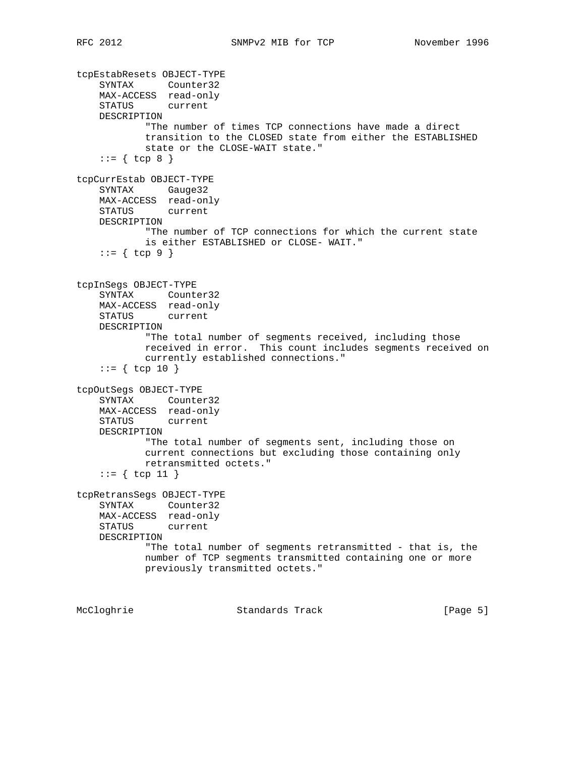tcpEstabResets OBJECT-TYPE SYNTAX Counter32 MAX-ACCESS read-only STATUS current DESCRIPTION "The number of times TCP connections have made a direct transition to the CLOSED state from either the ESTABLISHED state or the CLOSE-WAIT state."  $::= \{ \text{top } 8 \}$ tcpCurrEstab OBJECT-TYPE SYNTAX Gauge32 MAX-ACCESS read-only STATUS current DESCRIPTION "The number of TCP connections for which the current state is either ESTABLISHED or CLOSE- WAIT."  $::= \{ \text{top } 9 \}$ tcpInSegs OBJECT-TYPE SYNTAX Counter32 MAX-ACCESS read-only STATUS current DESCRIPTION "The total number of segments received, including those received in error. This count includes segments received on currently established connections."  $::=$  { tcp 10 } tcpOutSegs OBJECT-TYPE SYNTAX Counter32 MAX-ACCESS read-only STATUS current DESCRIPTION "The total number of segments sent, including those on current connections but excluding those containing only retransmitted octets."  $::=$  { tcp 11 } tcpRetransSegs OBJECT-TYPE SYNTAX Counter32 MAX-ACCESS read-only STATUS current DESCRIPTION "The total number of segments retransmitted - that is, the number of TCP segments transmitted containing one or more previously transmitted octets."

McCloghrie Standards Track [Page 5]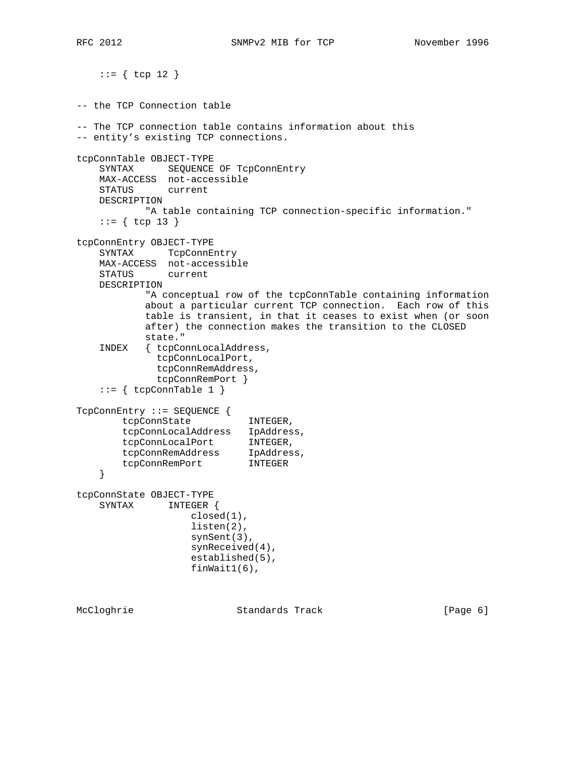RFC 2012 SNMPv2 MIB for TCP November 1996

 $::= \{ \text{top } 12 \}$ -- the TCP Connection table -- The TCP connection table contains information about this -- entity's existing TCP connections. tcpConnTable OBJECT-TYPE SYNTAX SEQUENCE OF TcpConnEntry MAX-ACCESS not-accessible STATUS current DESCRIPTION "A table containing TCP connection-specific information."  $::=$  { tcp 13 } tcpConnEntry OBJECT-TYPE SYNTAX TcpConnEntry MAX-ACCESS not-accessible STATUS current DESCRIPTION "A conceptual row of the tcpConnTable containing information about a particular current TCP connection. Each row of this table is transient, in that it ceases to exist when (or soon after) the connection makes the transition to the CLOSED state." INDEX { tcpConnLocalAddress, tcpConnLocalPort, tcpConnRemAddress, tcpConnRemPort }  $::=$  { tcpConnTable 1 } TcpConnEntry ::= SEQUENCE { tcpConnState INTEGER, tcpConnLocalAddress IpAddress, tcpConnLocalPort INTEGER, tcpConnRemAddress IpAddress, tcpConnRemPort INTEGER } tcpConnState OBJECT-TYPE SYNTAX INTEGER { closed(1), listen(2), synSent(3), synReceived(4), established(5), finWait1(6),

McCloghrie Standards Track [Page 6]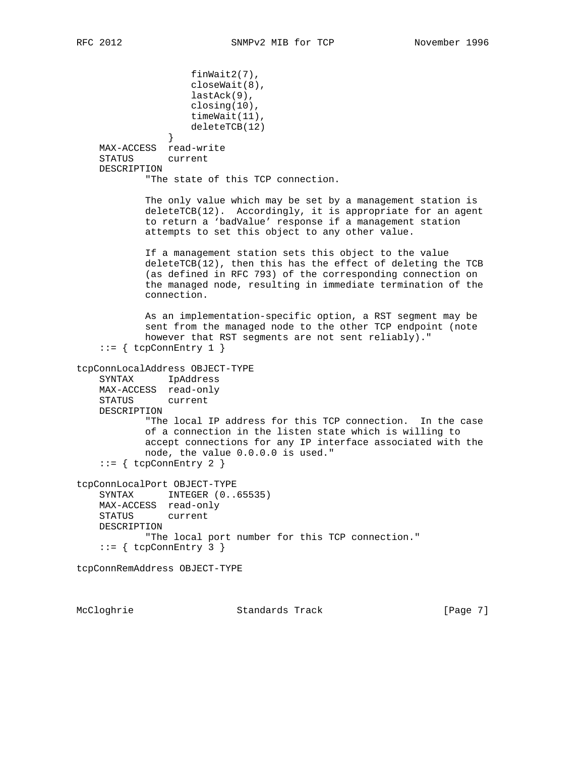```
 finWait2(7),
                     closeWait(8),
                     lastAck(9),
                    closing(10),
                    timeWait(11),
                    deleteTCB(12)
 }
    MAX-ACCESS read-write
     STATUS current
     DESCRIPTION
             "The state of this TCP connection.
            The only value which may be set by a management station is
            deleteTCB(12). Accordingly, it is appropriate for an agent
            to return a 'badValue' response if a management station
            attempts to set this object to any other value.
            If a management station sets this object to the value
            deleteTCB(12), then this has the effect of deleting the TCB
             (as defined in RFC 793) of the corresponding connection on
            the managed node, resulting in immediate termination of the
            connection.
            As an implementation-specific option, a RST segment may be
            sent from the managed node to the other TCP endpoint (note
            however that RST segments are not sent reliably)."
    ::= { tcpConnEntry 1 }
tcpConnLocalAddress OBJECT-TYPE
     SYNTAX IpAddress
    MAX-ACCESS read-only
    STATUS current
    DESCRIPTION
            "The local IP address for this TCP connection. In the case
            of a connection in the listen state which is willing to
            accept connections for any IP interface associated with the
            node, the value 0.0.0.0 is used."
    ::= { tcpConnEntry 2 }
tcpConnLocalPort OBJECT-TYPE
     SYNTAX INTEGER (0..65535)
    MAX-ACCESS read-only
    STATUS current
    DESCRIPTION
            "The local port number for this TCP connection."
    ::= { tcpConnEntry 3 }
tcpConnRemAddress OBJECT-TYPE
```
McCloghrie Standards Track [Page 7]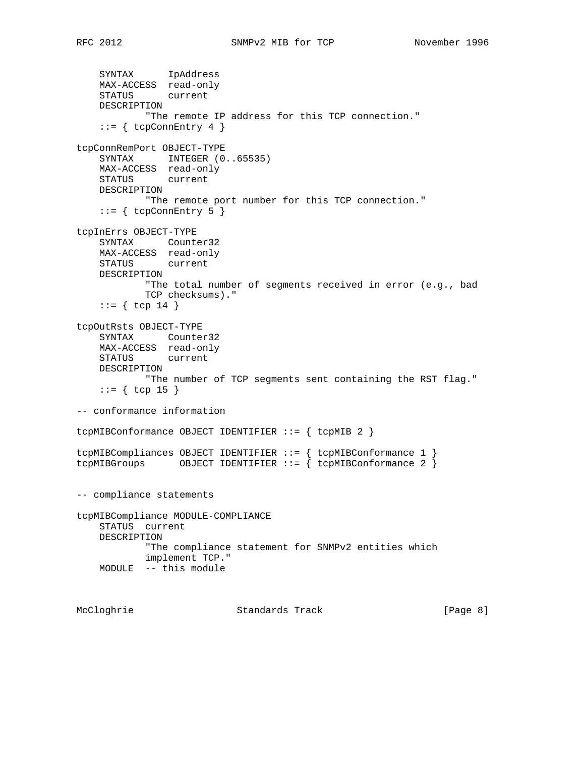SYNTAX IpAddress MAX-ACCESS read-only STATUS current DESCRIPTION "The remote IP address for this TCP connection."  $::=$  { tcpConnEntry 4 } tcpConnRemPort OBJECT-TYPE SYNTAX INTEGER  $(0..65535)$  MAX-ACCESS read-only STATUS current DESCRIPTION "The remote port number for this TCP connection."  $::= \{ \text{topConnEntry 5 } \}$ tcpInErrs OBJECT-TYPE SYNTAX Counter32 MAX-ACCESS read-only STATUS current DESCRIPTION "The total number of segments received in error (e.g., bad TCP checksums)."  $::=$  { tcp 14 } tcpOutRsts OBJECT-TYPE SYNTAX Counter32 MAX-ACCESS read-only STATUS current DESCRIPTION "The number of TCP segments sent containing the RST flag."  $::=$  { tcp 15 } -- conformance information tcpMIBConformance OBJECT IDENTIFIER ::= { tcpMIB 2 } tcpMIBCompliances OBJECT IDENTIFIER ::= { tcpMIBConformance 1 } tcpMIBGroups OBJECT IDENTIFIER ::= { tcpMIBConformance 2 } -- compliance statements tcpMIBCompliance MODULE-COMPLIANCE STATUS current DESCRIPTION "The compliance statement for SNMPv2 entities which implement TCP." MODULE -- this module

McCloghrie Standards Track [Page 8]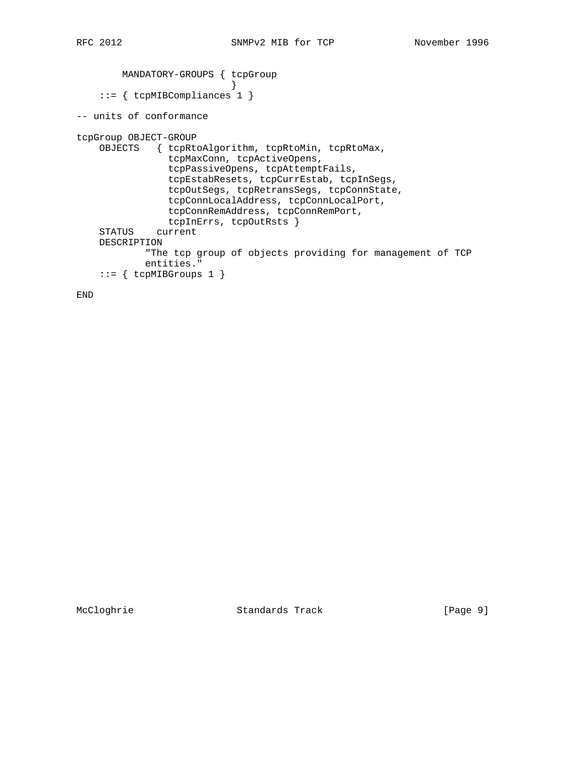```
 MANDATORY-GROUPS { tcpGroup
 }
     ::= { tcpMIBCompliances 1 }
-- units of conformance
tcpGroup OBJECT-GROUP
    OBJECTS { tcpRtoAlgorithm, tcpRtoMin, tcpRtoMax,
                tcpMaxConn, tcpActiveOpens,
                tcpPassiveOpens, tcpAttemptFails,
                tcpEstabResets, tcpCurrEstab, tcpInSegs,
                tcpOutSegs, tcpRetransSegs, tcpConnState,
                tcpConnLocalAddress, tcpConnLocalPort,
                tcpConnRemAddress, tcpConnRemPort,
                tcpInErrs, tcpOutRsts }
     STATUS current
    DESCRIPTION
            "The tcp group of objects providing for management of TCP
            entities."
    ::= { tcpMIBGroups 1 }
```
END

McCloghrie Standards Track [Page 9]